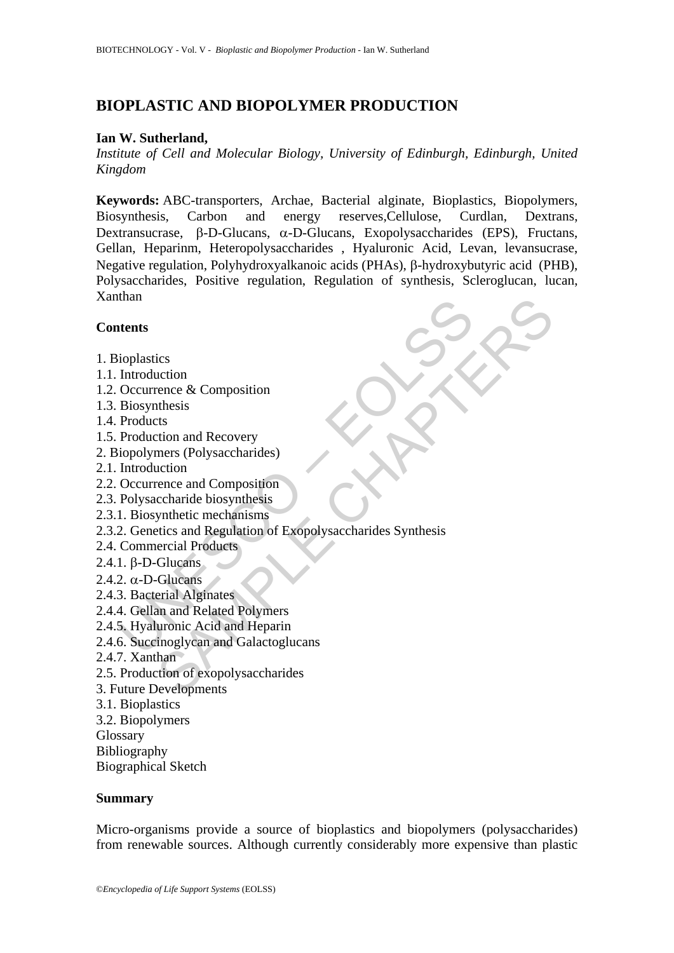# **BIOPLASTIC AND BIOPOLYMER PRODUCTION**

### **Ian W. Sutherland,**

*Institute of Cell and Molecular Biology, University of Edinburgh, Edinburgh, United Kingdom* 

**Keywords:** ABC-transporters, Archae, Bacterial alginate, Bioplastics, Biopolymers, Biosynthesis, Carbon and energy reserves,Cellulose, Curdlan, Dextrans, Dextransucrase, β-D-Glucans, α*-*D-Glucans, Exopolysaccharides (EPS), Fructans, Gellan, Heparinm, Heteropolysaccharides , Hyaluronic Acid, Levan, levansucrase, Negative regulation, Polyhydroxyalkanoic acids (PHAs), β*-*hydroxybutyric acid (PHB), Polysaccharides, Positive regulation, Regulation of synthesis, Scleroglucan, lucan, Xanthan

### **Contents**

- 1. Bioplastics
- 1.1. Introduction
- 1.2. Occurrence & Composition
- 1.3. Biosynthesis
- 1.4. Products
- 1.5. Production and Recovery
- 2. Biopolymers (Polysaccharides)
- 2.1. Introduction
- 2.2. Occurrence and Composition
- 2.3. Polysaccharide biosynthesis
- 2.3.1. Biosynthetic mechanisms
- Main<br>
itents<br>
ioplastics<br>
Introduction<br>
Diosynthesis<br>
Products<br>
Products<br>
Production and Recovery<br>
iopolymers (Polysaccharides)<br>
Introduction<br>
Occurrence and Composition<br>
2. Genetics and Regulation of Exopolysaccharides S ics<br>
ics<br>
action<br>
action<br>
action<br>
action and Recovery<br>
mers (Polysaccharides)<br>
mers (Polysaccharides)<br>
contained biosynthesis<br>
synthetic mechanisms<br>
synthetic mechanisms<br>
synthetic mechanisms<br>
Glucians<br>
Glucians<br>
Glucians<br> 2.3.2. Genetics and Regulation of Exopolysaccharides Synthesis
- 2.4. Commercial Products
- 2.4.1. β-D-Glucans
- 2.4.2. α-D-Glucans
- 2.4.3. Bacterial Alginates
- 2.4.4. Gellan and Related Polymers
- 2.4.5. Hyaluronic Acid and Heparin
- 2.4.6. Succinoglycan and Galactoglucans
- 2.4.7. Xanthan
- 2.5. Production of exopolysaccharides
- 3. Future Developments
- 3.1. Bioplastics
- 3.2. Biopolymers
- Glossary
- Bibliography

Biographical Sketch

#### **Summary**

Micro-organisms provide a source of bioplastics and biopolymers (polysaccharides) from renewable sources. Although currently considerably more expensive than plastic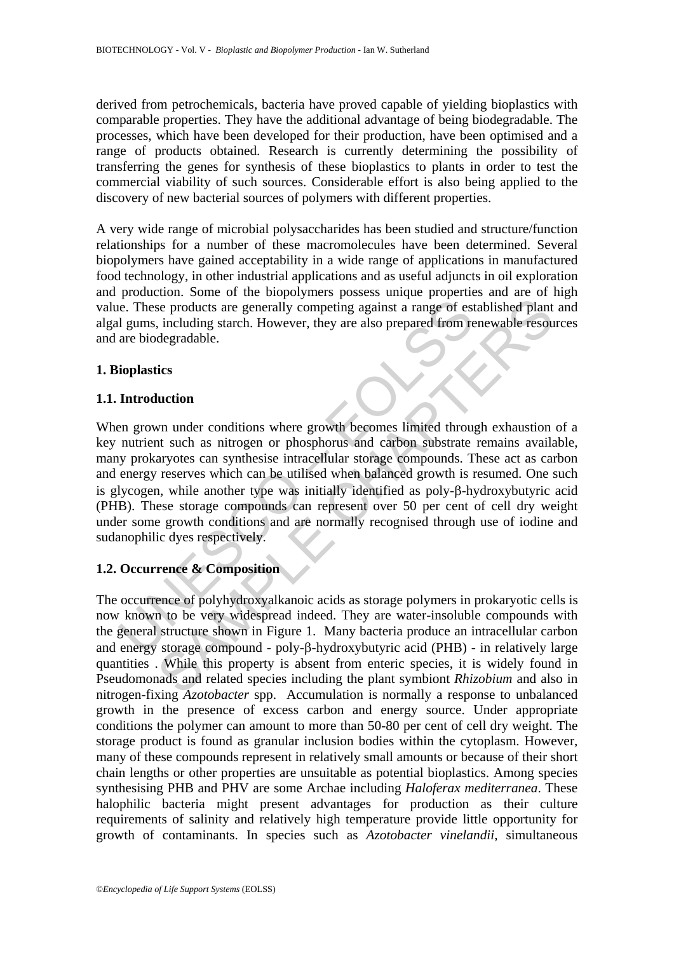derived from petrochemicals, bacteria have proved capable of yielding bioplastics with comparable properties. They have the additional advantage of being biodegradable. The processes, which have been developed for their production, have been optimised and a range of products obtained. Research is currently determining the possibility of transferring the genes for synthesis of these bioplastics to plants in order to test the commercial viability of such sources. Considerable effort is also being applied to the discovery of new bacterial sources of polymers with different properties.

A very wide range of microbial polysaccharides has been studied and structure/function relationships for a number of these macromolecules have been determined. Several biopolymers have gained acceptability in a wide range of applications in manufactured food technology, in other industrial applications and as useful adjuncts in oil exploration and production. Some of the biopolymers possess unique properties and are of high value. These products are generally competing against a range of established plant and algal gums, including starch. However, they are also prepared from renewable resources and are biodegradable.

### **1. Bioplastics**

### **1.1. Introduction**

is a transfer of examples are generally competing against a range of est<br>al gums, including starch. However, they are also prepared from reare biodegradable.<br> **Introduction**<br>
an grown under conditions where growth becomes Something that the method of the term of the term of the term of the term of the products are generally competing against a range of established plant<br>
including starch. However, they are also prepared from renewable reso When grown under conditions where growth becomes limited through exhaustion of a key nutrient such as nitrogen or phosphorus and carbon substrate remains available, many prokaryotes can synthesise intracellular storage compounds. These act as carbon and energy reserves which can be utilised when balanced growth is resumed. One such is glycogen, while another type was initially identified as poly-β-hydroxybutyric acid (PHB). These storage compounds can represent over 50 per cent of cell dry weight under some growth conditions and are normally recognised through use of iodine and sudanophilic dyes respectively.

# **1.2. Occurrence & Composition**

The occurrence of polyhydroxyalkanoic acids as storage polymers in prokaryotic cells is now known to be very widespread indeed. They are water-insoluble compounds with the general structure shown in Figure 1. Many bacteria produce an intracellular carbon and energy storage compound - poly-β-hydroxybutyric acid (PHB) - in relatively large quantities . While this property is absent from enteric species, it is widely found in Pseudomonads and related species including the plant symbiont *Rhizobium* and also in nitrogen-fixing *Azotobacter* spp. Accumulation is normally a response to unbalanced growth in the presence of excess carbon and energy source. Under appropriate conditions the polymer can amount to more than 50-80 per cent of cell dry weight. The storage product is found as granular inclusion bodies within the cytoplasm. However, many of these compounds represent in relatively small amounts or because of their short chain lengths or other properties are unsuitable as potential bioplastics. Among species synthesising PHB and PHV are some Archae including *Haloferax mediterranea*. These halophilic bacteria might present advantages for production as their culture requirements of salinity and relatively high temperature provide little opportunity for growth of contaminants. In species such as *Azotobacter vinelandii*, simultaneous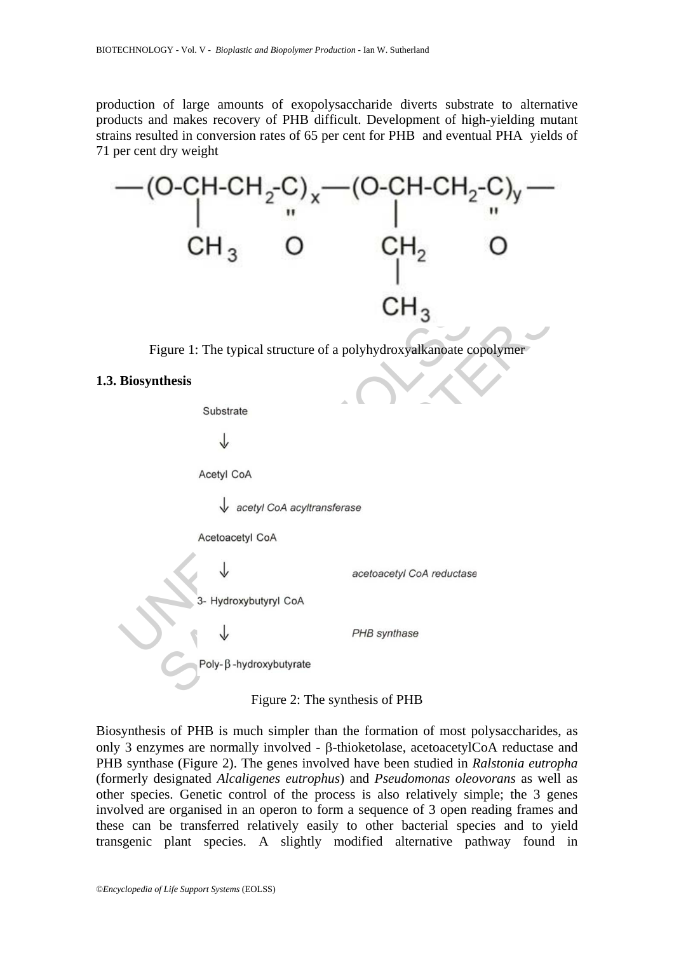production of large amounts of exopolysaccharide diverts substrate to alternative products and makes recovery of PHB difficult. Development of high-yielding mutant strains resulted in conversion rates of 65 per cent for PHB and eventual PHA yields of 71 per cent dry weight



Figure 1: The typical structure of a polyhydroxyalkanoate copolymer

#### **1.3. Biosynthesis**

Figure 2: The synthesis of PHB

Biosynthesis of PHB is much simpler than the formation of most polysaccharides, as only 3 enzymes are normally involved - β-thioketolase, acetoacetylCoA reductase and PHB synthase (Figure 2). The genes involved have been studied in *Ralstonia eutropha* (formerly designated *Alcaligenes eutrophus*) and *Pseudomonas oleovorans* as well as other species. Genetic control of the process is also relatively simple; the 3 genes involved are organised in an operon to form a sequence of 3 open reading frames and these can be transferred relatively easily to other bacterial species and to yield transgenic plant species. A slightly modified alternative pathway found in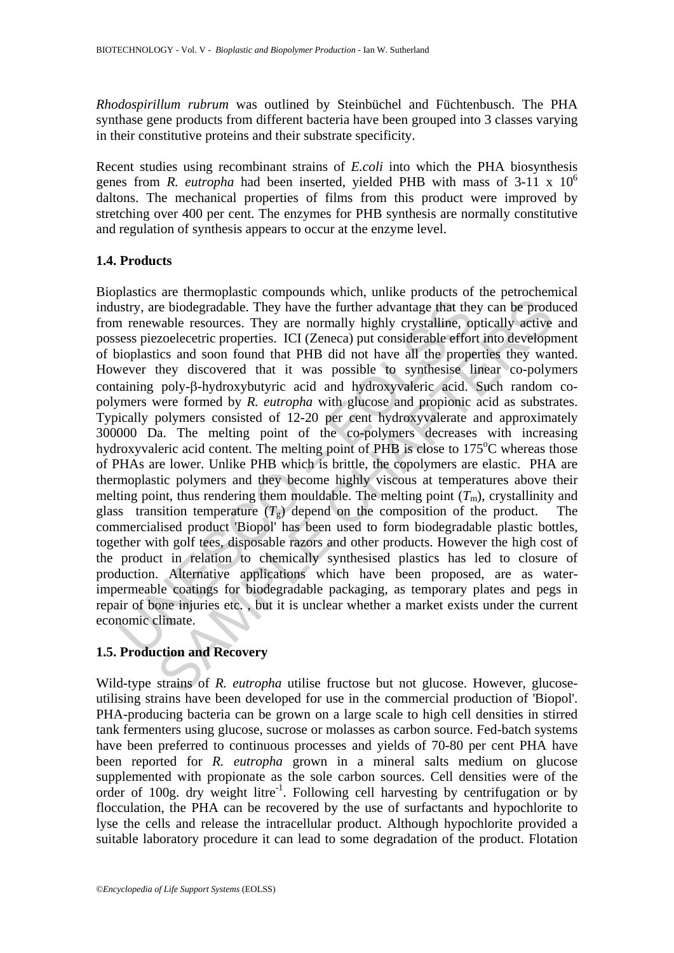*Rhodospirillum rubrum* was outlined by Steinbüchel and Füchtenbusch. The PHA synthase gene products from different bacteria have been grouped into 3 classes varying in their constitutive proteins and their substrate specificity.

Recent studies using recombinant strains of *E.coli* into which the PHA biosynthesis genes from *R. eutropha* had been inserted, yielded PHB with mass of 3-11 x 10<sup>6</sup> daltons. The mechanical properties of films from this product were improved by stretching over 400 per cent. The enzymes for PHB synthesis are normally constitutive and regulation of synthesis appears to occur at the enzyme level.

## **1.4. Products**

istry, are biodegradable. They have the further advantage that the nenewable resources. They are normally highly crystalline, on esss piezoelecetric properties. ICI (Zeneca) put considerable efforoioplastics and soon foun increaring the model product in the solution and Recovery<br>considerable. They have the further advantage that they can be producable resources. They are normally highly crystalline, optically active<br>coelecteric properties. Bioplastics are thermoplastic compounds which, unlike products of the petrochemical industry, are biodegradable. They have the further advantage that they can be produced from renewable resources. They are normally highly crystalline, optically active and possess piezoelecetric properties. ICI (Zeneca) put considerable effort into development of bioplastics and soon found that PHB did not have all the properties they wanted. However they discovered that it was possible to synthesise linear co-polymers containing poly-β-hydroxybutyric acid and hydroxyvaleric acid. Such random copolymers were formed by *R. eutropha* with glucose and propionic acid as substrates. Typically polymers consisted of 12-20 per cent hydroxyvalerate and approximately 300000 Da. The melting point of the co-polymers decreases with increasing hydroxyvaleric acid content. The melting point of PHB is close to  $175^{\circ}$ C whereas those of PHAs are lower. Unlike PHB which is brittle, the copolymers are elastic. PHA are thermoplastic polymers and they become highly viscous at temperatures above their melting point, thus rendering them mouldable. The melting point  $(T_m)$ , crystallinity and glass transition temperature  $(T<sub>g</sub>)$  depend on the composition of the product. The commercialised product 'Biopol' has been used to form biodegradable plastic bottles, together with golf tees, disposable razors and other products. However the high cost of the product in relation to chemically synthesised plastics has led to closure of production. Alternative applications which have been proposed, are as waterimpermeable coatings for biodegradable packaging, as temporary plates and pegs in repair of bone injuries etc. , but it is unclear whether a market exists under the current economic climate.

## **1.5. Production and Recovery**

Wild-type strains of *R. eutropha* utilise fructose but not glucose. However, glucoseutilising strains have been developed for use in the commercial production of 'Biopol'. PHA-producing bacteria can be grown on a large scale to high cell densities in stirred tank fermenters using glucose, sucrose or molasses as carbon source. Fed-batch systems have been preferred to continuous processes and yields of 70-80 per cent PHA have been reported for *R. eutropha* grown in a mineral salts medium on glucose supplemented with propionate as the sole carbon sources. Cell densities were of the order of 100g. dry weight litre<sup>-1</sup>. Following cell harvesting by centrifugation or by flocculation, the PHA can be recovered by the use of surfactants and hypochlorite to lyse the cells and release the intracellular product. Although hypochlorite provided a suitable laboratory procedure it can lead to some degradation of the product. Flotation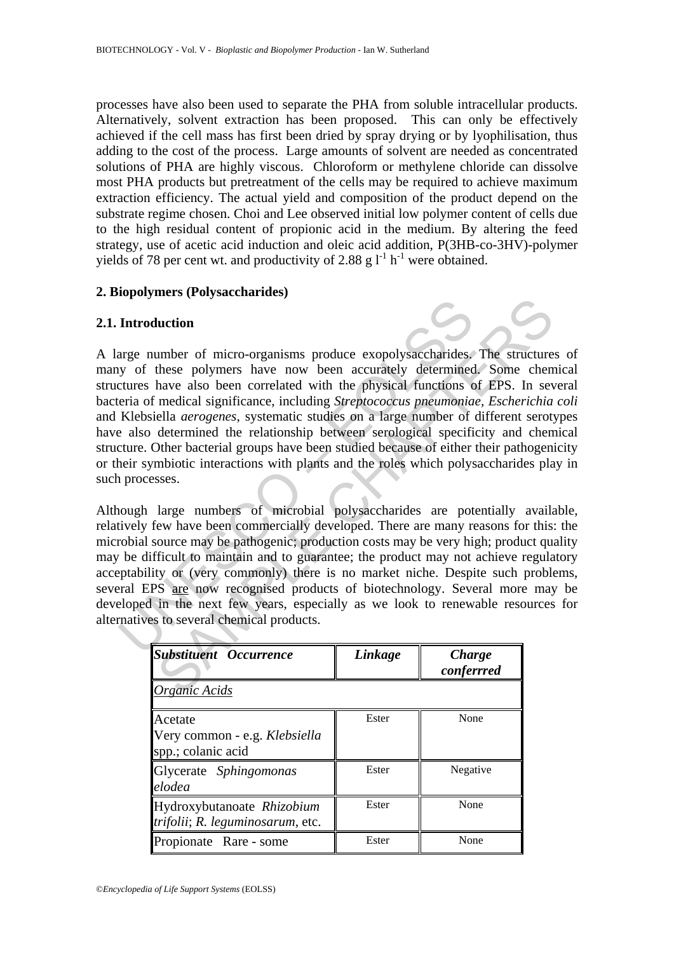processes have also been used to separate the PHA from soluble intracellular products. Alternatively, solvent extraction has been proposed. This can only be effectively achieved if the cell mass has first been dried by spray drying or by lyophilisation, thus adding to the cost of the process. Large amounts of solvent are needed as concentrated solutions of PHA are highly viscous. Chloroform or methylene chloride can dissolve most PHA products but pretreatment of the cells may be required to achieve maximum extraction efficiency. The actual yield and composition of the product depend on the substrate regime chosen. Choi and Lee observed initial low polymer content of cells due to the high residual content of propionic acid in the medium. By altering the feed strategy, use of acetic acid induction and oleic acid addition, P(3HB-co-3HV)-polymer yields of 78 per cent wt. and productivity of 2.88 g  $l^{-1}$  h<sup>-1</sup> were obtained.

### **2. Biopolymers (Polysaccharides)**

#### **2.1. Introduction**

Introduction<br>
arge number of micro-organisms produce exopolysaccharides,<br>
yy of these polymers have now been accurately determined<br>
ctures have also been correlated with the physical functions c<br>
eria of medical significan **Example 18**<br> **Example Control Control Control Control Control Control Control Control Control Control Control Control Control Control Control Control Control Control Control Control Control Control Control Control Contro** A large number of micro-organisms produce exopolysaccharides. The structures of many of these polymers have now been accurately determined. Some chemical structures have also been correlated with the physical functions of EPS. In several bacteria of medical significance, including *Streptococcus pneumoniae, Escherichia coli*  and Klebsiella *aerogenes*, systematic studies on a large number of different serotypes have also determined the relationship between serological specificity and chemical structure. Other bacterial groups have been studied because of either their pathogenicity or their symbiotic interactions with plants and the roles which polysaccharides play in such processes.

Although large numbers of microbial polysaccharides are potentially available, relatively few have been commercially developed. There are many reasons for this: the microbial source may be pathogenic; production costs may be very high; product quality may be difficult to maintain and to guarantee; the product may not achieve regulatory acceptability or (very commonly) there is no market niche. Despite such problems, several EPS are now recognised products of biotechnology. Several more may be developed in the next few years, especially as we look to renewable resources for alternatives to several chemical products.

| <b>Substituent Occurrence</b>                                  | Linkage | <b>Charge</b><br>conferrred |
|----------------------------------------------------------------|---------|-----------------------------|
| Organic Acids                                                  |         |                             |
| Acetate<br>Very common - e.g. Klebsiella<br>spp.; colanic acid | Ester   | None                        |
| Glycerate Sphingomonas<br>elodea                               | Ester   | Negative                    |
| Hydroxybutanoate Rhizobium<br>trifolii; R. leguminosarum, etc. | Ester   | None                        |
| Propionate Rare - some                                         | Ester   | None                        |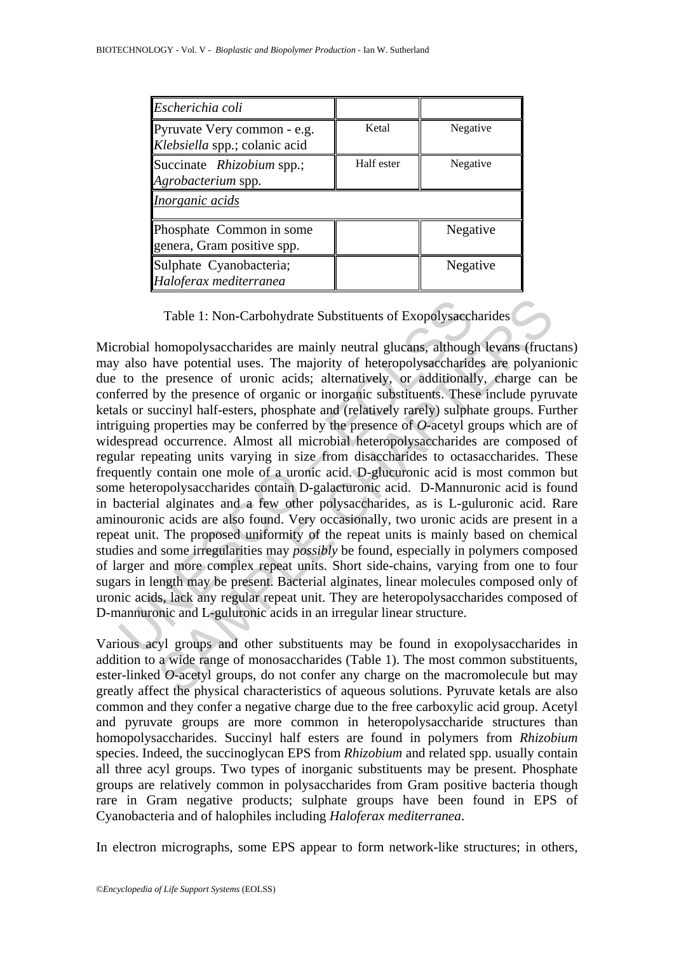| Escherichia coli                                             |            |          |
|--------------------------------------------------------------|------------|----------|
| Pyruvate Very common - e.g.<br>Klebsiella spp.; colanic acid | Ketal      | Negative |
| Succinate Rhizobium spp.;<br>Agrobacterium spp.              | Half ester | Negative |
| Inorganic acids                                              |            |          |
| Phosphate Common in some<br>genera, Gram positive spp.       |            | Negative |
| Sulphate Cyanobacteria;<br>Haloferax mediterranea            |            | Negative |

Table 1: Non-Carbohydrate Substituents of Exopolysaccharides

Table 1: Non-Carbohydrate Substituents of Exopolysacch<br>robial homopolysaccharides are mainly neutral glucans, although<br>also have potential uses. The majority of heteropolysaccharid<br>to the presence of uronic acids; alternat Table 1: Non-Carbohydrate Substituents of Exopolysaecharides<br>homopolysaecharides are mainly neutral glucans, although levans (fruct<br>ave potential uses. The majority of heteropolysaecharides are polyani<br>presence of uronic a Microbial homopolysaccharides are mainly neutral glucans, although levans (fructans) may also have potential uses. The majority of heteropolysaccharides are polyanionic due to the presence of uronic acids; alternatively, or additionally, charge can be conferred by the presence of organic or inorganic substituents. These include pyruvate ketals or succinyl half-esters, phosphate and (relatively rarely) sulphate groups. Further intriguing properties may be conferred by the presence of *O*-acetyl groups which are of widespread occurrence. Almost all microbial heteropolysaccharides are composed of regular repeating units varying in size from disaccharides to octasaccharides. These frequently contain one mole of a uronic acid. D-glucuronic acid is most common but some heteropolysaccharides contain D-galacturonic acid. D-Mannuronic acid is found in bacterial alginates and a few other polysaccharides, as is L-guluronic acid. Rare aminouronic acids are also found. Very occasionally, two uronic acids are present in a repeat unit. The proposed uniformity of the repeat units is mainly based on chemical studies and some irregularities may *possibly* be found, especially in polymers composed of larger and more complex repeat units. Short side-chains, varying from one to four sugars in length may be present. Bacterial alginates, linear molecules composed only of uronic acids, lack any regular repeat unit. They are heteropolysaccharides composed of D-mannuronic and L-guluronic acids in an irregular linear structure.

Various acyl groups and other substituents may be found in exopolysaccharides in addition to a wide range of monosaccharides (Table 1). The most common substituents, ester-linked *O*-acetyl groups, do not confer any charge on the macromolecule but may greatly affect the physical characteristics of aqueous solutions. Pyruvate ketals are also common and they confer a negative charge due to the free carboxylic acid group. Acetyl and pyruvate groups are more common in heteropolysaccharide structures than homopolysaccharides. Succinyl half esters are found in polymers from *Rhizobium* species. Indeed, the succinoglycan EPS from *Rhizobium* and related spp. usually contain all three acyl groups. Two types of inorganic substituents may be present. Phosphate groups are relatively common in polysaccharides from Gram positive bacteria though rare in Gram negative products; sulphate groups have been found in EPS of Cyanobacteria and of halophiles including *Haloferax mediterranea*.

In electron micrographs, some EPS appear to form network-like structures; in others,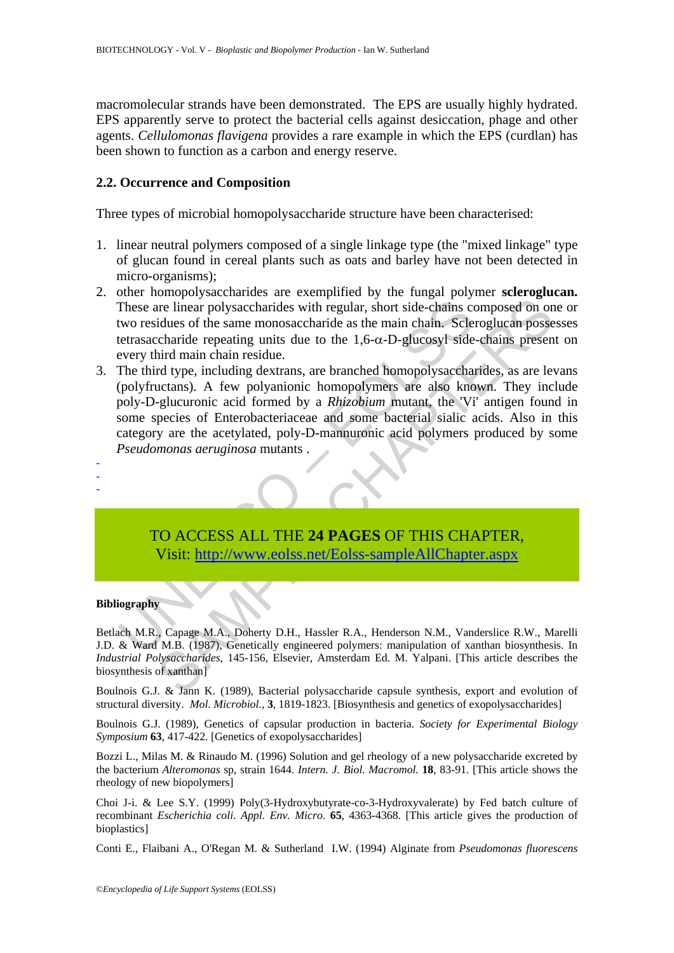macromolecular strands have been demonstrated. The EPS are usually highly hydrated. EPS apparently serve to protect the bacterial cells against desiccation, phage and other agents. *Cellulomonas flavigena* provides a rare example in which the EPS (curdlan) has been shown to function as a carbon and energy reserve.

### **2.2. Occurrence and Composition**

Three types of microbial homopolysaccharide structure have been characterised:

- 1. linear neutral polymers composed of a single linkage type (the "mixed linkage" type of glucan found in cereal plants such as oats and barley have not been detected in micro-organisms);
- 2. other homopolysaccharides are exemplified by the fungal polymer **scleroglucan.**  These are linear polysaccharides with regular, short side-chains composed on one or two residues of the same monosaccharide as the main chain. Scleroglucan possesses tetrasaccharide repeating units due to the  $1,6-\alpha$ -D-glucosyl side-chains present on every third main chain residue.
- These are linear polysaccharides with regular, short side-chains ctwo residues of the same monosaccharide as the main chain. Sclending destrussaccharide repeating units due to the 1,6- $\alpha$ -D-glucosyl side<br>every third main The mean polysaccharides with regular, short side-chains composed on on<br>didues of the same monosaccharide as the main chain. Scleroglucan posse<br>charide repeating units due to the 1,6-α-D-glucosyl side-chains present<br>charid 3. The third type, including dextrans, are branched homopolysaccharides, as are levans (polyfructans). A few polyanionic homopolymers are also known. They include poly-D-glucuronic acid formed by a *Rhizobium* mutant, the 'Vi' antigen found in some species of Enterobacteriaceae and some bacterial sialic acids. Also in this category are the acetylated, poly-D-mannuronic acid polymers produced by some *Pseudomonas aeruginosa* mutants . -
	- TO ACCESS ALL THE **24 PAGES** OF THIS CHAPTER, Visit: http://www.eolss.net/Eolss-sampleAllChapter.aspx

#### **Bibliography**

- -

Betlach M.R., Capage M.A., Doherty D.H., Hassler R.A., Henderson N.M., Vanderslice R.W., Marelli J.D. & Ward M.B. (1987), Genetically engineered polymers: manipulation of xanthan biosynthesis. In *Industrial Polysaccharides*, 145-156, Elsevier, Amsterdam Ed. M. Yalpani. [This article describes the biosynthesis of xanthan]

Boulnois G.J. & Jann K. (1989), Bacterial polysaccharide capsule synthesis, export and evolution of structural diversity. *Mol. Microbiol.,* **3**, 1819-1823. [Biosynthesis and genetics of exopolysaccharides]

Boulnois G.J. (1989), Genetics of capsular production in bacteria. *Society for Experimental Biology Symposium* **63**, 417-422. [Genetics of exopolysaccharides]

Bozzi L., Milas M. & Rinaudo M. (1996) Solution and gel rheology of a new polysaccharide excreted by the bacterium *Alteromonas* sp, strain 1644. *Intern. J. Biol. Macromol.* **18**, 83-91. [This article shows the rheology of new biopolymers]

Choi J-i. & Lee S.Y. (1999) Poly(3-Hydroxybutyrate-co-3-Hydroxyvalerate) by Fed batch culture of recombinant *Escherichia coli*. *Appl. Env. Micro*. **65**, 4363-4368. [This article gives the production of bioplastics]

Conti E., Flaibani A., O'Regan M. & Sutherland I.W. (1994) Alginate from *Pseudomonas fluorescens*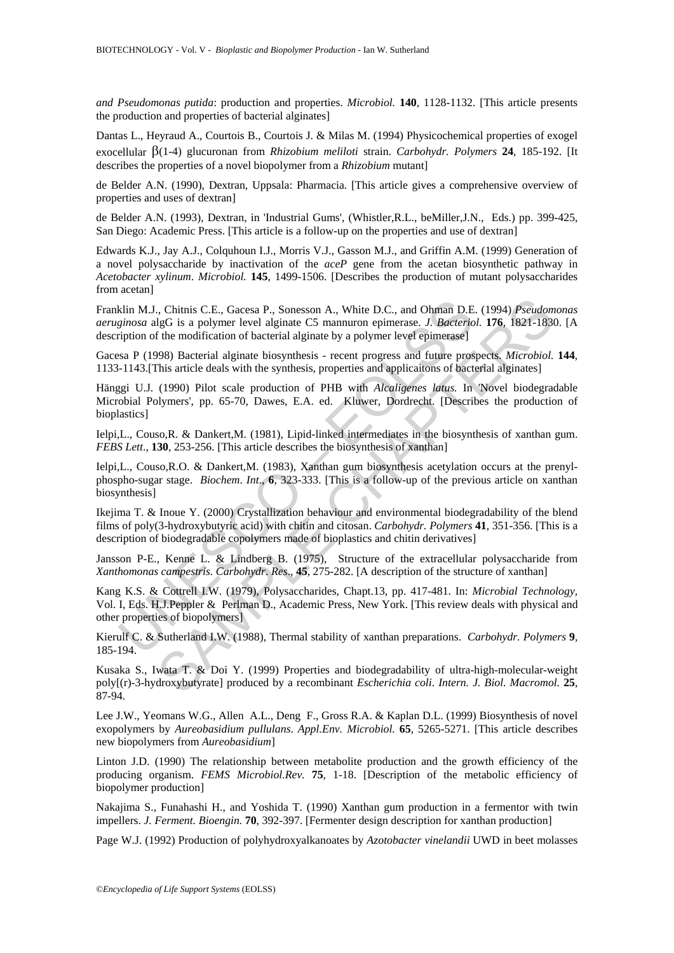*and Pseudomonas putida*: production and properties. *Microbiol.* **140**, 1128-1132. [This article presents the production and properties of bacterial alginates]

Dantas L., Heyraud A., Courtois B., Courtois J. & Milas M. (1994) Physicochemical properties of exogel exocellular β(1-4) glucuronan from *Rhizobium meliloti* strain. *Carbohydr. Polymers* **24**, 185-192. [It describes the properties of a novel biopolymer from a *Rhizobium* mutant]

de Belder A.N. (1990), Dextran, Uppsala: Pharmacia. [This article gives a comprehensive overview of properties and uses of dextran]

de Belder A.N. (1993), Dextran, in 'Industrial Gums', (Whistler,R.L., beMiller,J.N., Eds.) pp. 399-425, San Diego: Academic Press. [This article is a follow-up on the properties and use of dextran]

Edwards K.J., Jay A.J., Colquhoun I.J., Morris V.J., Gasson M.J., and Griffin A.M. (1999) Generation of a novel polysaccharide by inactivation of the *aceP* gene from the acetan biosynthetic pathway in *Acetobacter xylinum*. *Microbiol.* **145**, 1499-1506. [Describes the production of mutant polysaccharides from acetan]

Franklin M.J., Chitnis C.E., Gacesa P., Sonesson A., White D.C., and Ohman D.E. (1994) *Pseudomonas aeruginosa* algG is a polymer level alginate C5 mannuron epimerase. *J. Bacteriol.* **176**, 1821-1830. [A description of the modification of bacterial alginate by a polymer level epimerase]

Gacesa P (1998) Bacterial alginate biosynthesis - recent progress and future prospects. *Microbiol.* **144**, 1133-1143.[This article deals with the synthesis, properties and applicaitons of bacterial alginates]

Hänggi U.J. (1990) Pilot scale production of PHB with *Alcaligenes latus.* In 'Novel biodegradable Microbial Polymers', pp. 65-70, Dawes, E.A. ed. Kluwer, Dordrecht. [Describes the production of bioplastics]

Ielpi,L., Couso,R. & Dankert,M. (1981), Lipid-linked intermediates in the biosynthesis of xanthan gum. *FEBS Lett*., **130**, 253-256. [This article describes the biosynthesis of xanthan]

Ielpi,L., Couso,R.O. & Dankert,M. (1983), Xanthan gum biosynthesis acetylation occurs at the prenylphospho-sugar stage. *Biochem*. *Int*., **6**, 323-333. [This is a follow-up of the previous article on xanthan biosynthesis]

Ikejima T. & Inoue Y. (2000) Crystallization behaviour and environmental biodegradability of the blend films of poly(3-hydroxybutyric acid) with chitin and citosan. *Carbohydr. Polymers* **41**, 351-356. [This is a description of biodegradable copolymers made of bioplastics and chitin derivatives]

Jansson P-E., Kenne L. & Lindberg B. (1975), Structure of the extracellular polysaccharide from *Xanthomonas campestris. Carbohydr*. *Res*., **45**, 275-282. [A description of the structure of xanthan]

klin M.J., Chitnis C.E., Gacesa P., Sonesson A., White D.C., and Ohman D.E<br>ginosa algG is a polymer level alginate C5 mannuron epimerase. J. Bacterio<br>ription of the modification of bacterial alginate by a polymer level epi ., Chitnis C.E., Gacesa P., Sonesson A., White D.C., and Ohman D.E. (1994) *Pseudon*<br>IgG is a polymer level alginate C5 manuton epimerase. *J. Bacteriol.* **176.** 1821-1830<br>The modification of bacterial alginate by a polyme Kang K.S. & Cottrell I.W. (1979), Polysaccharides, Chapt.13, pp. 417-481. In: *Microbial Technology,* Vol. I, Eds. H.J.Peppler & Perlman D., Academic Press, New York. [This review deals with physical and other properties of biopolymers]

Kierulf C. & Sutherland I.W. (1988), Thermal stability of xanthan preparations. *Carbohydr. Polymers* **9**, 185-194.

Kusaka S., Iwata T. & Doi Y. (1999) Properties and biodegradability of ultra-high-molecular-weight poly[(r)-3-hydroxybutyrate] produced by a recombinant *Escherichia coli*. *Intern. J. Biol. Macromol.* **25**, 87-94.

Lee J.W., Yeomans W.G., Allen A.L., Deng F., Gross R.A. & Kaplan D.L. (1999) Biosynthesis of novel exopolymers by *Aureobasidium pullulans*. *Appl.Env. Microbiol.* **65**, 5265-5271. [This article describes new biopolymers from *Aureobasidium*]

Linton J.D. (1990) The relationship between metabolite production and the growth efficiency of the producing organism. *FEMS Microbiol.Rev.* **75**, 1-18. [Description of the metabolic efficiency of biopolymer production]

Nakajima S., Funahashi H., and Yoshida T. (1990) Xanthan gum production in a fermentor with twin impellers. *J. Ferment. Bioengin.* **70**, 392-397. [Fermenter design description for xanthan production]

Page W.J. (1992) Production of polyhydroxyalkanoates by *Azotobacter vinelandii* UWD in beet molasses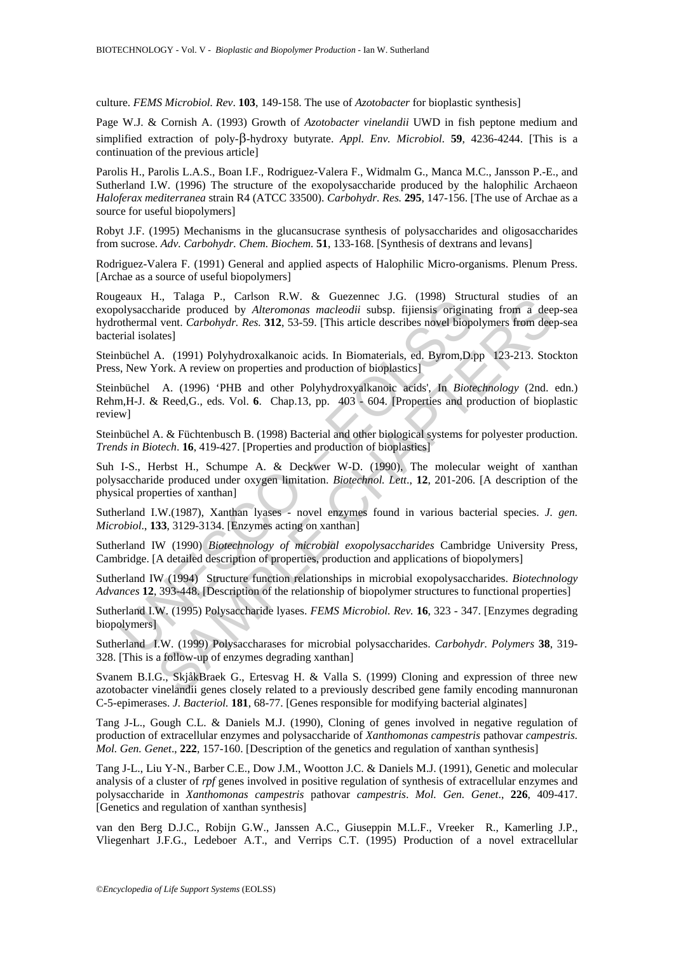culture. *FEMS Microbiol. Rev*. **103**, 149-158. The use of *Azotobacter* for bioplastic synthesis]

Page W.J. & Cornish A. (1993) Growth of *Azotobacter vinelandii* UWD in fish peptone medium and simplified extraction of poly-β-hydroxy butyrate. *Appl. Env. Microbiol*. **59**, 4236-4244. [This is a continuation of the previous article]

Parolis H., Parolis L.A.S., Boan I.F., Rodriguez-Valera F., Widmalm G., Manca M.C., Jansson P.-E., and Sutherland I.W. (1996) The structure of the exopolysaccharide produced by the halophilic Archaeon *Haloferax mediterranea* strain R4 (ATCC 33500). *Carbohydr. Res.* **295**, 147-156. [The use of Archae as a source for useful biopolymers]

Robyt J.F. (1995) Mechanisms in the glucansucrase synthesis of polysaccharides and oligosaccharides from sucrose. *Adv. Carbohydr. Chem. Biochem.* **51**, 133-168. [Synthesis of dextrans and levans]

Rodriguez-Valera F. (1991) General and applied aspects of Halophilic Micro-organisms. Plenum Press. [Archae as a source of useful biopolymers]

geaux 1., ratagar F., canson K.w. & Guezelmee Jo.G.<br>Jolysaccharide produced by *Alteromonas macleodii* subsp. fijiensis original<br>othermal vent. Carbohydr. Res. 312, 53-59. [This atticle describes novel bioportizal isolates 1., Tataga P., Carson K.W. & Guezemee J.U. (1998) Structural studes of<br>naride produced by Alteromonas macleodii subsp. fijlensis originating from a deel<br>vent. Carbohydr. Res. 312, 53-59. [This article describes novel biop Rougeaux H., Talaga P., Carlson R.W. & Guezennec J.G. (1998) Structural studies of an exopolysaccharide produced by *Alteromonas macleodii* subsp. fijiensis originating from a deep-sea hydrothermal vent. *Carbohydr. Res.* **312**, 53-59. [This article describes novel biopolymers from deep-sea bacterial isolates]

Steinbüchel A. (1991) Polyhydroxalkanoic acids. In Biomaterials, ed. Byrom,D.pp 123-213. Stockton Press, New York. A review on properties and production of bioplastics]

Steinbüchel A. (1996) 'PHB and other Polyhydroxyalkanoic acids', In *Biotechnology* (2nd. edn.) Rehm,H-J. & Reed,G., eds. Vol. **6**. Chap.13, pp. 403 - 604. [Properties and production of bioplastic review]

Steinbüchel A. & Füchtenbusch B. (1998) Bacterial and other biological systems for polyester production. *Trends in Biotech*. **16**, 419-427. [Properties and production of bioplastics]

Suh I-S., Herbst H., Schumpe A. & Deckwer W-D. (1990), The molecular weight of xanthan polysaccharide produced under oxygen limitation. *Biotechnol. Lett*., **12**, 201-206. [A description of the physical properties of xanthan]

Sutherland I.W.(1987), Xanthan lyases - novel enzymes found in various bacterial species. *J. gen. Microbiol*., **133**, 3129-3134. [Enzymes acting on xanthan]

Sutherland IW (1990) *Biotechnology of microbial exopolysaccharides* Cambridge University Press, Cambridge. [A detailed description of properties, production and applications of biopolymers]

Sutherland IW (1994) Structure function relationships in microbial exopolysaccharides. *Biotechnology Advances* **12**, 393-448. [Description of the relationship of biopolymer structures to functional properties]

Sutherland I.W. (1995) Polysaccharide lyases. *FEMS Microbiol. Rev.* **16**, 323 - 347. [Enzymes degrading biopolymers]

Sutherland I.W. (1999) Polysaccharases for microbial polysaccharides. *Carbohydr. Polymers* **38**, 319- 328. [This is a follow-up of enzymes degrading xanthan]

Svanem B.I.G., SkjåkBraek G., Ertesvag H. & Valla S. (1999) Cloning and expression of three new azotobacter vinelandii genes closely related to a previously described gene family encoding mannuronan C-5-epimerases. *J. Bacteriol.* **181**, 68-77. [Genes responsible for modifying bacterial alginates]

Tang J-L., Gough C.L. & Daniels M.J. (1990), Cloning of genes involved in negative regulation of production of extracellular enzymes and polysaccharide of *Xanthomonas campestris* pathovar *campestris. Mol. Gen. Genet*., **222**, 157-160. [Description of the genetics and regulation of xanthan synthesis]

Tang J-L., Liu Y-N., Barber C.E., Dow J.M., Wootton J.C. & Daniels M.J. (1991), Genetic and molecular analysis of a cluster of *rpf* genes involved in positive regulation of synthesis of extracellular enzymes and polysaccharide in *Xanthomonas campestris* pathovar *campestris*. *Mol. Gen. Genet*., **226**, 409-417. [Genetics and regulation of xanthan synthesis]

van den Berg D.J.C., Robijn G.W., Janssen A.C., Giuseppin M.L.F., Vreeker R., Kamerling J.P., Vliegenhart J.F.G., Ledeboer A.T., and Verrips C.T. (1995) Production of a novel extracellular